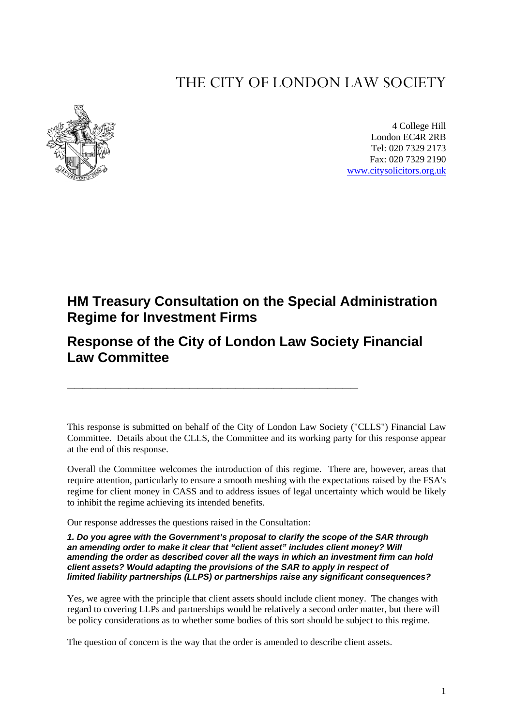# THE CITY OF LONDON LAW SOCIETY



4 College Hill London EC4R 2RB Tel: 020 7329 2173 Fax: 020 7329 2190 [www.citysolicitors.org.uk](http://www.citysolicitors.org.uk/)

## **HM Treasury Consultation on the Special Administration Regime for Investment Firms**

**Response of the City of London Law Society Financial Law Committee** 

**\_\_\_\_\_\_\_\_\_\_\_\_\_\_\_\_\_\_\_\_\_\_\_\_\_\_\_\_\_\_\_\_\_\_\_\_\_\_** 

This response is submitted on behalf of the City of London Law Society ("CLLS") Financial Law Committee. Details about the CLLS, the Committee and its working party for this response appear at the end of this response.

Overall the Committee welcomes the introduction of this regime. There are, however, areas that require attention, particularly to ensure a smooth meshing with the expectations raised by the FSA's regime for client money in CASS and to address issues of legal uncertainty which would be likely to inhibit the regime achieving its intended benefits.

Our response addresses the questions raised in the Consultation:

*1. Do you agree with the Government's proposal to clarify the scope of the SAR through an amending order to make it clear that "client asset" includes client money? Will amending the order as described cover all the ways in which an investment firm can hold client assets? Would adapting the provisions of the SAR to apply in respect of limited liability partnerships (LLPS) or partnerships raise any significant consequences?* 

Yes, we agree with the principle that client assets should include client money. The changes with regard to covering LLPs and partnerships would be relatively a second order matter, but there will be policy considerations as to whether some bodies of this sort should be subject to this regime.

The question of concern is the way that the order is amended to describe client assets.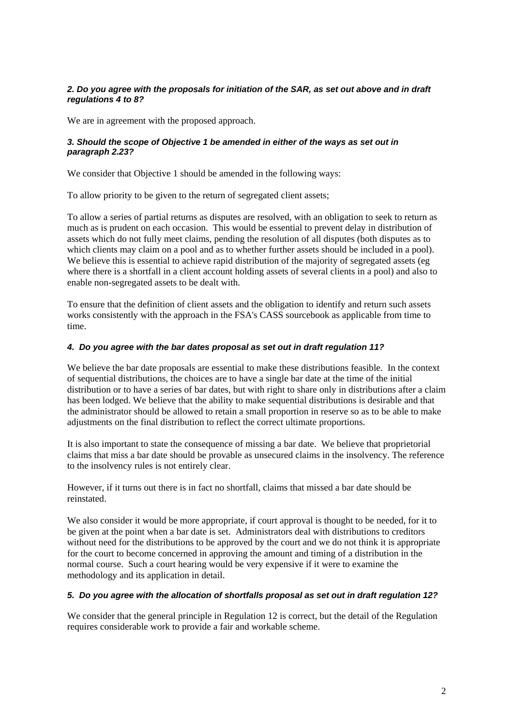#### *2. Do you agree with the proposals for initiation of the SAR, as set out above and in draft regulations 4 to 8?*

We are in agreement with the proposed approach.

#### *3. Should the scope of Objective 1 be amended in either of the ways as set out in paragraph 2.23?*

We consider that Objective 1 should be amended in the following ways:

To allow priority to be given to the return of segregated client assets;

To allow a series of partial returns as disputes are resolved, with an obligation to seek to return as much as is prudent on each occasion. This would be essential to prevent delay in distribution of assets which do not fully meet claims, pending the resolution of all disputes (both disputes as to which clients may claim on a pool and as to whether further assets should be included in a pool). We believe this is essential to achieve rapid distribution of the majority of segregated assets (eg where there is a shortfall in a client account holding assets of several clients in a pool) and also to enable non-segregated assets to be dealt with.

To ensure that the definition of client assets and the obligation to identify and return such assets works consistently with the approach in the FSA's CASS sourcebook as applicable from time to time.

#### *4. Do you agree with the bar dates proposal as set out in draft regulation 11?*

We believe the bar date proposals are essential to make these distributions feasible. In the context of sequential distributions, the choices are to have a single bar date at the time of the initial distribution or to have a series of bar dates, but with right to share only in distributions after a claim has been lodged. We believe that the ability to make sequential distributions is desirable and that the administrator should be allowed to retain a small proportion in reserve so as to be able to make adjustments on the final distribution to reflect the correct ultimate proportions.

It is also important to state the consequence of missing a bar date. We believe that proprietorial claims that miss a bar date should be provable as unsecured claims in the insolvency. The reference to the insolvency rules is not entirely clear.

However, if it turns out there is in fact no shortfall, claims that missed a bar date should be reinstated.

We also consider it would be more appropriate, if court approval is thought to be needed, for it to be given at the point when a bar date is set. Administrators deal with distributions to creditors without need for the distributions to be approved by the court and we do not think it is appropriate for the court to become concerned in approving the amount and timing of a distribution in the normal course. Such a court hearing would be very expensive if it were to examine the methodology and its application in detail.

#### *5. Do you agree with the allocation of shortfalls proposal as set out in draft regulation 12?*

We consider that the general principle in Regulation 12 is correct, but the detail of the Regulation requires considerable work to provide a fair and workable scheme.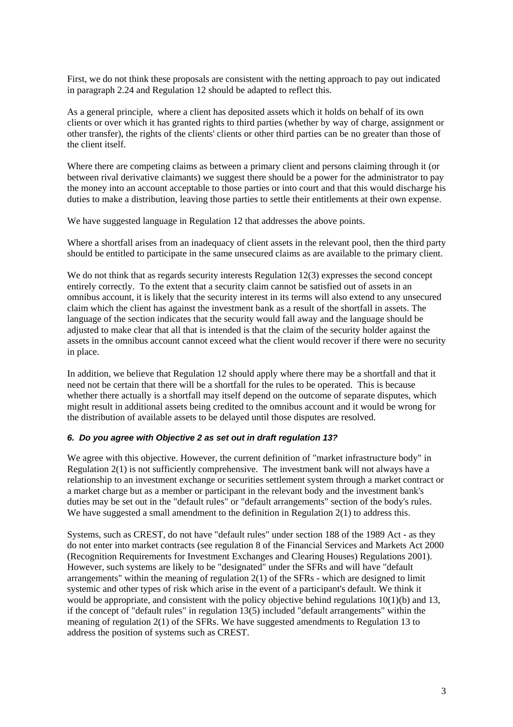First, we do not think these proposals are consistent with the netting approach to pay out indicated in paragraph 2.24 and Regulation 12 should be adapted to reflect this.

As a general principle, where a client has deposited assets which it holds on behalf of its own clients or over which it has granted rights to third parties (whether by way of charge, assignment or other transfer), the rights of the clients' clients or other third parties can be no greater than those of the client itself.

Where there are competing claims as between a primary client and persons claiming through it (or between rival derivative claimants) we suggest there should be a power for the administrator to pay the money into an account acceptable to those parties or into court and that this would discharge his duties to make a distribution, leaving those parties to settle their entitlements at their own expense.

We have suggested language in Regulation 12 that addresses the above points.

Where a shortfall arises from an inadequacy of client assets in the relevant pool, then the third party should be entitled to participate in the same unsecured claims as are available to the primary client.

We do not think that as regards security interests Regulation 12(3) expresses the second concept entirely correctly. To the extent that a security claim cannot be satisfied out of assets in an omnibus account, it is likely that the security interest in its terms will also extend to any unsecured claim which the client has against the investment bank as a result of the shortfall in assets. The language of the section indicates that the security would fall away and the language should be adjusted to make clear that all that is intended is that the claim of the security holder against the assets in the omnibus account cannot exceed what the client would recover if there were no security in place.

In addition, we believe that Regulation 12 should apply where there may be a shortfall and that it need not be certain that there will be a shortfall for the rules to be operated. This is because whether there actually is a shortfall may itself depend on the outcome of separate disputes, which might result in additional assets being credited to the omnibus account and it would be wrong for the distribution of available assets to be delayed until those disputes are resolved.

#### *6. Do you agree with Objective 2 as set out in draft regulation 13?*

We agree with this objective. However, the current definition of "market infrastructure body" in Regulation 2(1) is not sufficiently comprehensive. The investment bank will not always have a relationship to an investment exchange or securities settlement system through a market contract or a market charge but as a member or participant in the relevant body and the investment bank's duties may be set out in the "default rules" or "default arrangements" section of the body's rules. We have suggested a small amendment to the definition in Regulation 2(1) to address this.

Systems, such as CREST, do not have "default rules" under section 188 of the 1989 Act - as they do not enter into market contracts (see regulation 8 of the Financial Services and Markets Act 2000 (Recognition Requirements for Investment Exchanges and Clearing Houses) Regulations 2001). However, such systems are likely to be "designated" under the SFRs and will have "default arrangements" within the meaning of regulation  $2(1)$  of the SFRs - which are designed to limit systemic and other types of risk which arise in the event of a participant's default. We think it would be appropriate, and consistent with the policy objective behind regulations 10(1)(b) and 13, if the concept of "default rules" in regulation 13(5) included "default arrangements" within the meaning of regulation 2(1) of the SFRs. We have suggested amendments to Regulation 13 to address the position of systems such as CREST.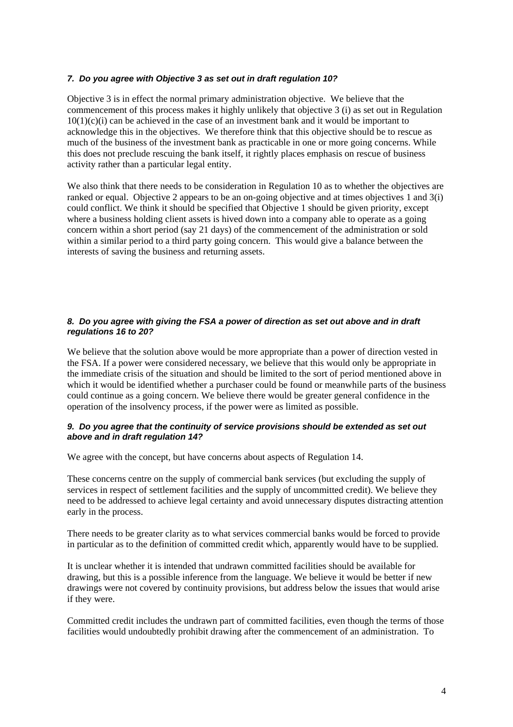#### *7. Do you agree with Objective 3 as set out in draft regulation 10?*

Objective 3 is in effect the normal primary administration objective. We believe that the commencement of this process makes it highly unlikely that objective 3 (i) as set out in Regulation 10(1)(c)(i) can be achieved in the case of an investment bank and it would be important to acknowledge this in the objectives. We therefore think that this objective should be to rescue as much of the business of the investment bank as practicable in one or more going concerns. While this does not preclude rescuing the bank itself, it rightly places emphasis on rescue of business activity rather than a particular legal entity.

We also think that there needs to be consideration in Regulation 10 as to whether the objectives are ranked or equal. Objective 2 appears to be an on-going objective and at times objectives 1 and 3(i) could conflict. We think it should be specified that Objective 1 should be given priority, except where a business holding client assets is hived down into a company able to operate as a going concern within a short period (say 21 days) of the commencement of the administration or sold within a similar period to a third party going concern. This would give a balance between the interests of saving the business and returning assets.

#### *8. Do you agree with giving the FSA a power of direction as set out above and in draft regulations 16 to 20?*

We believe that the solution above would be more appropriate than a power of direction vested in the FSA. If a power were considered necessary, we believe that this would only be appropriate in the immediate crisis of the situation and should be limited to the sort of period mentioned above in which it would be identified whether a purchaser could be found or meanwhile parts of the business could continue as a going concern. We believe there would be greater general confidence in the operation of the insolvency process, if the power were as limited as possible.

#### *9. Do you agree that the continuity of service provisions should be extended as set out above and in draft regulation 14?*

We agree with the concept, but have concerns about aspects of Regulation 14.

These concerns centre on the supply of commercial bank services (but excluding the supply of services in respect of settlement facilities and the supply of uncommitted credit). We believe they need to be addressed to achieve legal certainty and avoid unnecessary disputes distracting attention early in the process.

There needs to be greater clarity as to what services commercial banks would be forced to provide in particular as to the definition of committed credit which, apparently would have to be supplied.

It is unclear whether it is intended that undrawn committed facilities should be available for drawing, but this is a possible inference from the language. We believe it would be better if new drawings were not covered by continuity provisions, but address below the issues that would arise if they were.

Committed credit includes the undrawn part of committed facilities, even though the terms of those facilities would undoubtedly prohibit drawing after the commencement of an administration. To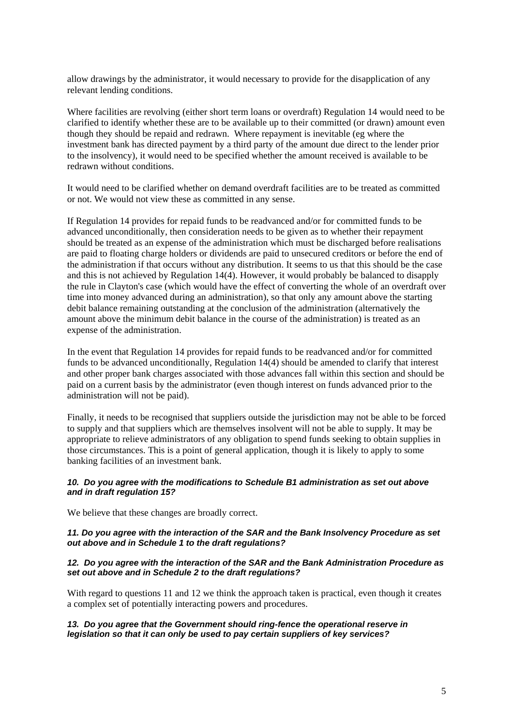allow drawings by the administrator, it would necessary to provide for the disapplication of any relevant lending conditions.

Where facilities are revolving (either short term loans or overdraft) Regulation 14 would need to be clarified to identify whether these are to be available up to their committed (or drawn) amount even though they should be repaid and redrawn. Where repayment is inevitable (eg where the investment bank has directed payment by a third party of the amount due direct to the lender prior to the insolvency), it would need to be specified whether the amount received is available to be redrawn without conditions.

It would need to be clarified whether on demand overdraft facilities are to be treated as committed or not. We would not view these as committed in any sense.

If Regulation 14 provides for repaid funds to be readvanced and/or for committed funds to be advanced unconditionally, then consideration needs to be given as to whether their repayment should be treated as an expense of the administration which must be discharged before realisations are paid to floating charge holders or dividends are paid to unsecured creditors or before the end of the administration if that occurs without any distribution. It seems to us that this should be the case and this is not achieved by Regulation 14(4). However, it would probably be balanced to disapply the rule in Clayton's case (which would have the effect of converting the whole of an overdraft over time into money advanced during an administration), so that only any amount above the starting debit balance remaining outstanding at the conclusion of the administration (alternatively the amount above the minimum debit balance in the course of the administration) is treated as an expense of the administration.

In the event that Regulation 14 provides for repaid funds to be readvanced and/or for committed funds to be advanced unconditionally, Regulation 14(4) should be amended to clarify that interest and other proper bank charges associated with those advances fall within this section and should be paid on a current basis by the administrator (even though interest on funds advanced prior to the administration will not be paid).

Finally, it needs to be recognised that suppliers outside the jurisdiction may not be able to be forced to supply and that suppliers which are themselves insolvent will not be able to supply. It may be appropriate to relieve administrators of any obligation to spend funds seeking to obtain supplies in those circumstances. This is a point of general application, though it is likely to apply to some banking facilities of an investment bank.

#### *10. Do you agree with the modifications to Schedule B1 administration as set out above and in draft regulation 15?*

We believe that these changes are broadly correct.

#### *11. Do you agree with the interaction of the SAR and the Bank Insolvency Procedure as set out above and in Schedule 1 to the draft regulations?*

#### *12. Do you agree with the interaction of the SAR and the Bank Administration Procedure as set out above and in Schedule 2 to the draft regulations?*

With regard to questions 11 and 12 we think the approach taken is practical, even though it creates a complex set of potentially interacting powers and procedures.

#### *13. Do you agree that the Government should ring-fence the operational reserve in legislation so that it can only be used to pay certain suppliers of key services?*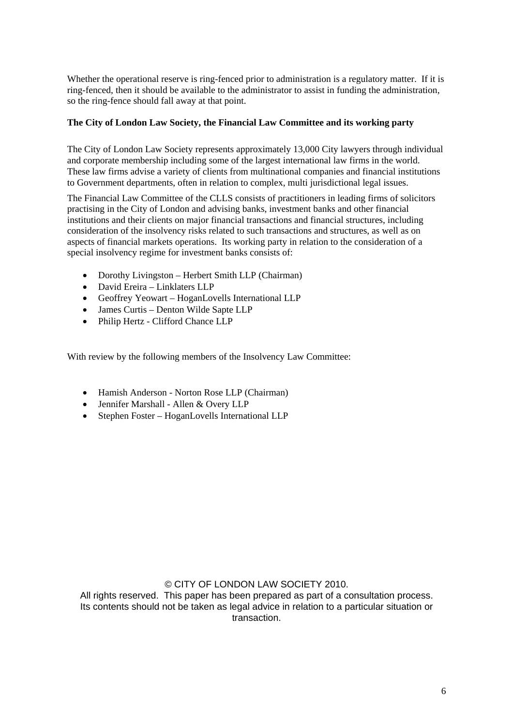Whether the operational reserve is ring-fenced prior to administration is a regulatory matter. If it is ring-fenced, then it should be available to the administrator to assist in funding the administration, so the ring-fence should fall away at that point.

## **The City of London Law Society, the Financial Law Committee and its working party**

The City of London Law Society represents approximately 13,000 City lawyers through individual and corporate membership including some of the largest international law firms in the world. These law firms advise a variety of clients from multinational companies and financial institutions to Government departments, often in relation to complex, multi jurisdictional legal issues.

The Financial Law Committee of the CLLS consists of practitioners in leading firms of solicitors practising in the City of London and advising banks, investment banks and other financial institutions and their clients on major financial transactions and financial structures, including consideration of the insolvency risks related to such transactions and structures, as well as on aspects of financial markets operations. Its working party in relation to the consideration of a special insolvency regime for investment banks consists of:

- Dorothy Livingston Herbert Smith LLP (Chairman)
- David Ereira Linklaters LLP
- Geoffrey Yeowart HoganLovells International LLP
- James Curtis Denton Wilde Sapte LLP
- Philip Hertz Clifford Chance LLP

With review by the following members of the Insolvency Law Committee:

- Hamish Anderson Norton Rose LLP (Chairman)
- Jennifer Marshall Allen & Overy LLP
- Stephen Foster HoganLovells International LLP

## © CITY OF LONDON LAW SOCIETY 2010.

All rights reserved. This paper has been prepared as part of a consultation process. Its contents should not be taken as legal advice in relation to a particular situation or transaction.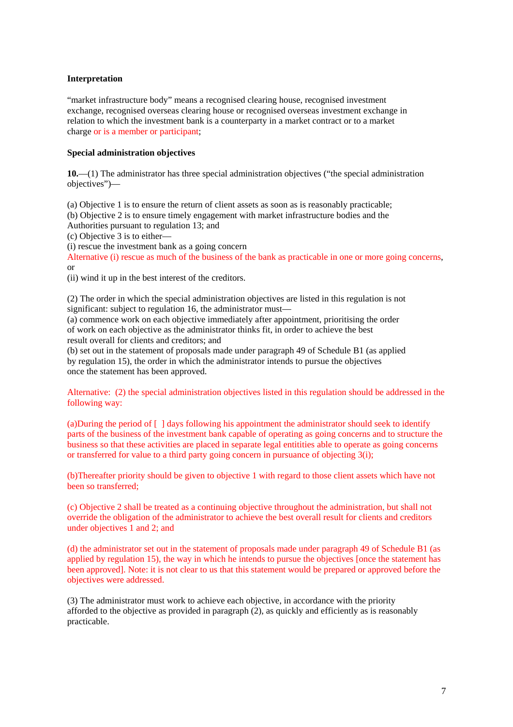#### **Interpretation**

"market infrastructure body" means a recognised clearing house, recognised investment exchange, recognised overseas clearing house or recognised overseas investment exchange in relation to which the investment bank is a counterparty in a market contract or to a market charge or is a member or participant;

#### **Special administration objectives**

**10.**—(1) The administrator has three special administration objectives ("the special administration objectives")—

(a) Objective 1 is to ensure the return of client assets as soon as is reasonably practicable;

(b) Objective 2 is to ensure timely engagement with market infrastructure bodies and the

Authorities pursuant to regulation 13; and

(c) Objective 3 is to either—

(i) rescue the investment bank as a going concern

Alternative (i) rescue as much of the business of the bank as practicable in one or more going concerns, or

(ii) wind it up in the best interest of the creditors.

(2) The order in which the special administration objectives are listed in this regulation is not significant: subject to regulation 16, the administrator must—

(a) commence work on each objective immediately after appointment, prioritising the order of work on each objective as the administrator thinks fit, in order to achieve the best result overall for clients and creditors; and

(b) set out in the statement of proposals made under paragraph 49 of Schedule B1 (as applied by regulation 15), the order in which the administrator intends to pursue the objectives once the statement has been approved.

Alternative: (2) the special administration objectives listed in this regulation should be addressed in the following way:

(a)During the period of  $\lceil \cdot \rceil$  days following his appointment the administrator should seek to identify parts of the business of the investment bank capable of operating as going concerns and to structure the business so that these activities are placed in separate legal entitities able to operate as going concerns or transferred for value to a third party going concern in pursuance of objecting 3(i);

(b)Thereafter priority should be given to objective 1 with regard to those client assets which have not been so transferred;

(c) Objective 2 shall be treated as a continuing objective throughout the administration, but shall not override the obligation of the administrator to achieve the best overall result for clients and creditors under objectives 1 and 2; and

(d) the administrator set out in the statement of proposals made under paragraph 49 of Schedule B1 (as applied by regulation 15), the way in which he intends to pursue the objectives [once the statement has been approved]. Note: it is not clear to us that this statement would be prepared or approved before the objectives were addressed.

(3) The administrator must work to achieve each objective, in accordance with the priority afforded to the objective as provided in paragraph (2), as quickly and efficiently as is reasonably practicable.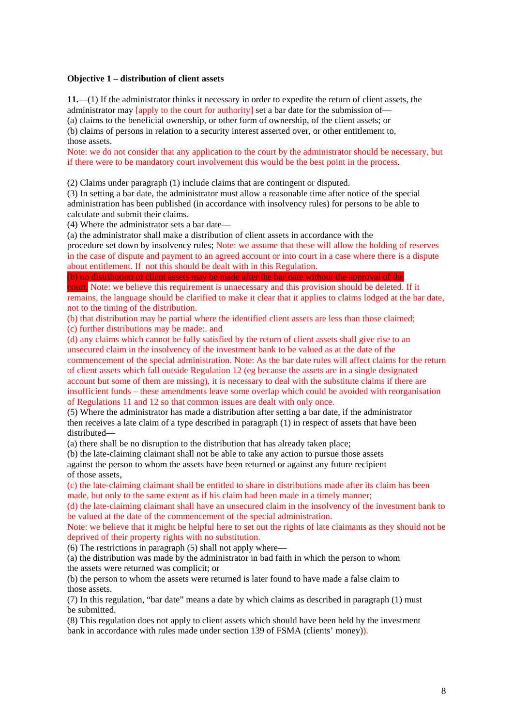#### **Objective 1 – distribution of client assets**

**11.**—(1) If the administrator thinks it necessary in order to expedite the return of client assets, the administrator may  $\begin{bmatrix} \text{apply to the court for authority} \end{bmatrix}$  set a bar date for the submission of— (a) claims to the beneficial ownership, or other form of ownership, of the client assets; or (b) claims of persons in relation to a security interest asserted over, or other entitlement to, those assets.

Note: we do not consider that any application to the court by the administrator should be necessary, but if there were to be mandatory court involvement this would be the best point in the process.

(2) Claims under paragraph (1) include claims that are contingent or disputed.

(3) In setting a bar date, the administrator must allow a reasonable time after notice of the special administration has been published (in accordance with insolvency rules) for persons to be able to calculate and submit their claims.

(4) Where the administrator sets a bar date—

(a) the administrator shall make a distribution of client assets in accordance with the

procedure set down by insolvency rules; Note: we assume that these will allow the holding of reserves in the case of dispute and payment to an agreed account or into court in a case where there is a dispute about entitlement. If not this should be dealt with in this Regulation.

(b) no distribution of client assets may be made after the bar date without the approval of the

court. Note: we believe this requirement is unnecessary and this provision should be deleted. If it remains, the language should be clarified to make it clear that it applies to claims lodged at the bar date, not to the timing of the distribution.

(b) that distribution may be partial where the identified client assets are less than those claimed; (c) further distributions may be made:. and

(d) any claims which cannot be fully satisfied by the return of client assets shall give rise to an unsecured claim in the insolvency of the investment bank to be valued as at the date of the commencement of the special administration. Note: As the bar date rules will affect claims for the return of client assets which fall outside Regulation 12 (eg because the assets are in a single designated account but some of them are missing), it is necessary to deal with the substitute claims if there are insufficient funds – these amendments leave some overlap which could be avoided with reorganisation of Regulations 11 and 12 so that common issues are dealt with only once.

(5) Where the administrator has made a distribution after setting a bar date, if the administrator then receives a late claim of a type described in paragraph (1) in respect of assets that have been distributed—

(a) there shall be no disruption to the distribution that has already taken place;

(b) the late-claiming claimant shall not be able to take any action to pursue those assets against the person to whom the assets have been returned or against any future recipient of those assets,

(c) the late-claiming claimant shall be entitled to share in distributions made after its claim has been made, but only to the same extent as if his claim had been made in a timely manner;

(d) the late-claiming claimant shall have an unsecured claim in the insolvency of the investment bank to be valued at the date of the commencement of the special administration.

Note: we believe that it might be helpful here to set out the rights of late claimants as they should not be deprived of their property rights with no substitution.

(6) The restrictions in paragraph (5) shall not apply where—

(a) the distribution was made by the administrator in bad faith in which the person to whom the assets were returned was complicit; or

(b) the person to whom the assets were returned is later found to have made a false claim to those assets.

(7) In this regulation, "bar date" means a date by which claims as described in paragraph (1) must be submitted.

(8) This regulation does not apply to client assets which should have been held by the investment bank in accordance with rules made under section 139 of FSMA (clients' money)).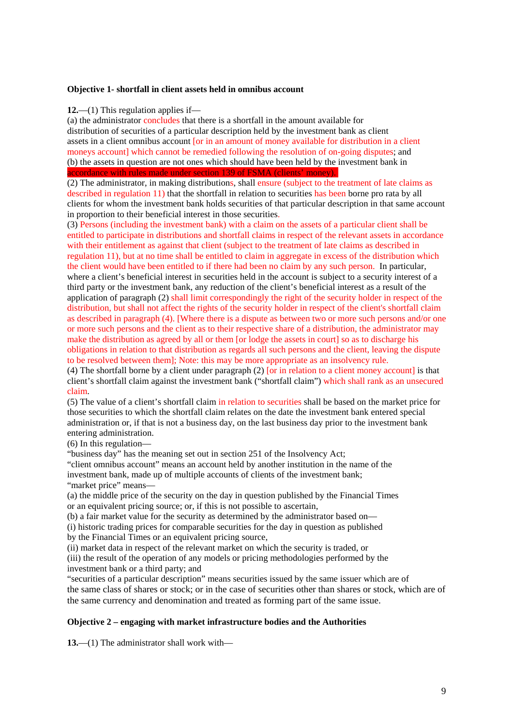#### **Objective 1- shortfall in client assets held in omnibus account**

#### **12.**—(1) This regulation applies if—

(a) the administrator concludes that there is a shortfall in the amount available for distribution of securities of a particular description held by the investment bank as client assets in a client omnibus account [or in an amount of money available for distribution in a client moneys account] which cannot be remedied following the resolution of on-going disputes; and (b) the assets in question are not ones which should have been held by the investment bank in accordance with rules made under section 139 of FSMA (clients' money)..

(2) The administrator, in making distributions, shall ensure (subject to the treatment of late claims as described in regulation 11) that the shortfall in relation to securities has been borne pro rata by all clients for whom the investment bank holds securities of that particular description in that same account in proportion to their beneficial interest in those securities.

(3) Persons (including the investment bank) with a claim on the assets of a particular client shall be entitled to participate in distributions and shortfall claims in respect of the relevant assets in accordance with their entitlement as against that client (subject to the treatment of late claims as described in regulation 11), but at no time shall be entitled to claim in aggregate in excess of the distribution which the client would have been entitled to if there had been no claim by any such person. In particular, where a client's beneficial interest in securities held in the account is subject to a security interest of a third party or the investment bank, any reduction of the client's beneficial interest as a result of the application of paragraph (2) shall limit correspondingly the right of the security holder in respect of the distribution, but shall not affect the rights of the security holder in respect of the client's shortfall claim as described in paragraph (4). [Where there is a dispute as between two or more such persons and/or one or more such persons and the client as to their respective share of a distribution, the administrator may make the distribution as agreed by all or them [or lodge the assets in court] so as to discharge his obligations in relation to that distribution as regards all such persons and the client, leaving the dispute to be resolved between them]; Note: this may be more appropriate as an insolvency rule.

(4) The shortfall borne by a client under paragraph  $(2)$  [or in relation to a client money account] is that client's shortfall claim against the investment bank ("shortfall claim") which shall rank as an unsecured claim.

(5) The value of a client's shortfall claim in relation to securities shall be based on the market price for those securities to which the shortfall claim relates on the date the investment bank entered special administration or, if that is not a business day, on the last business day prior to the investment bank entering administration.

(6) In this regulation—

"business day" has the meaning set out in section 251 of the Insolvency Act;

"client omnibus account" means an account held by another institution in the name of the investment bank, made up of multiple accounts of clients of the investment bank; "market price" means—

(a) the middle price of the security on the day in question published by the Financial Times or an equivalent pricing source; or, if this is not possible to ascertain,

(b) a fair market value for the security as determined by the administrator based on—

(i) historic trading prices for comparable securities for the day in question as published

by the Financial Times or an equivalent pricing source,

(ii) market data in respect of the relevant market on which the security is traded, or

(iii) the result of the operation of any models or pricing methodologies performed by the investment bank or a third party; and

"securities of a particular description" means securities issued by the same issuer which are of the same class of shares or stock; or in the case of securities other than shares or stock, which are of the same currency and denomination and treated as forming part of the same issue.

#### **Objective 2 – engaging with market infrastructure bodies and the Authorities**

**13.**—(1) The administrator shall work with—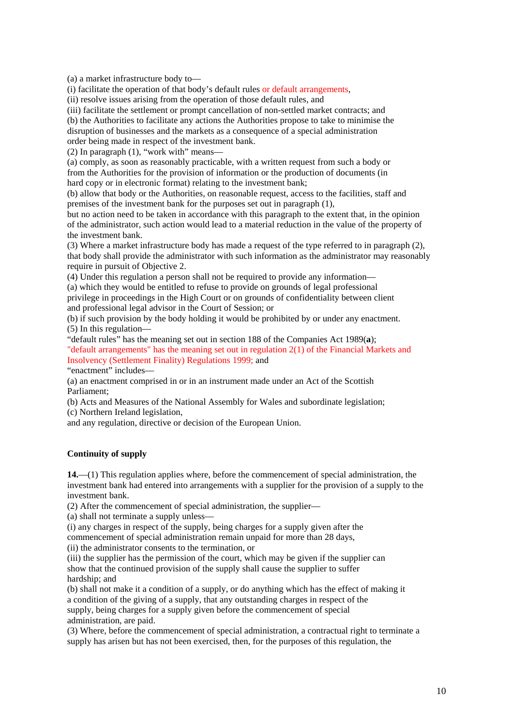(a) a market infrastructure body to—

(i) facilitate the operation of that body's default rules or default arrangements,

(ii) resolve issues arising from the operation of those default rules, and

(iii) facilitate the settlement or prompt cancellation of non-settled market contracts; and

(b) the Authorities to facilitate any actions the Authorities propose to take to minimise the

disruption of businesses and the markets as a consequence of a special administration

order being made in respect of the investment bank.

(2) In paragraph (1), "work with" means—

(a) comply, as soon as reasonably practicable, with a written request from such a body or from the Authorities for the provision of information or the production of documents (in hard copy or in electronic format) relating to the investment bank;

(b) allow that body or the Authorities, on reasonable request, access to the facilities, staff and premises of the investment bank for the purposes set out in paragraph (1),

but no action need to be taken in accordance with this paragraph to the extent that, in the opinion of the administrator, such action would lead to a material reduction in the value of the property of the investment bank.

(3) Where a market infrastructure body has made a request of the type referred to in paragraph (2), that body shall provide the administrator with such information as the administrator may reasonably require in pursuit of Objective 2.

(4) Under this regulation a person shall not be required to provide any information—

(a) which they would be entitled to refuse to provide on grounds of legal professional privilege in proceedings in the High Court or on grounds of confidentiality between client and professional legal advisor in the Court of Session; or

(b) if such provision by the body holding it would be prohibited by or under any enactment. (5) In this regulation—

"default rules" has the meaning set out in section 188 of the Companies Act 1989(**a**); "default arrangements" has the meaning set out in regulation 2(1) of the Financial Markets and Insolvency (Settlement Finality) Regulations 1999; and

"enactment" includes—

(a) an enactment comprised in or in an instrument made under an Act of the Scottish Parliament;

(b) Acts and Measures of the National Assembly for Wales and subordinate legislation; (c) Northern Ireland legislation,

and any regulation, directive or decision of the European Union.

#### **Continuity of supply**

**14.**—(1) This regulation applies where, before the commencement of special administration, the investment bank had entered into arrangements with a supplier for the provision of a supply to the investment bank.

(2) After the commencement of special administration, the supplier—

(a) shall not terminate a supply unless—

(i) any charges in respect of the supply, being charges for a supply given after the commencement of special administration remain unpaid for more than 28 days,

(ii) the administrator consents to the termination, or

(iii) the supplier has the permission of the court, which may be given if the supplier can show that the continued provision of the supply shall cause the supplier to suffer hardship; and

(b) shall not make it a condition of a supply, or do anything which has the effect of making it a condition of the giving of a supply, that any outstanding charges in respect of the supply, being charges for a supply given before the commencement of special administration, are paid.

(3) Where, before the commencement of special administration, a contractual right to terminate a supply has arisen but has not been exercised, then, for the purposes of this regulation, the